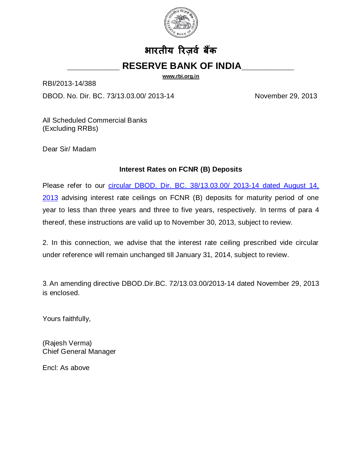

## **भारतीय ररज़र्व बकैं \_\_\_\_\_\_\_\_\_\_ RESERVE BANK OF INDIA\_\_\_\_\_\_\_\_\_\_**

**[www.rbi.org.in](http://www.rbi.org.in/)**

RBI/2013-14/388

DBOD. No. Dir. BC. 73/13.03.00/ 2013-14 November 29, 2013

All Scheduled Commercial Banks (Excluding RRBs)

Dear Sir/ Madam

## **Interest Rates on FCNR (B) Deposits**

Please refer to our [circular DBOD. Dir. BC. 38/13.03.00/ 2013-14 dated August 14,](http://www.rbi.org.in/scripts/NotificationUser.aspx?Id=8310&Mode=0)  [2013](http://www.rbi.org.in/scripts/NotificationUser.aspx?Id=8310&Mode=0) advising interest rate ceilings on FCNR (B) deposits for maturity period of one year to less than three years and three to five years, respectively. In terms of para 4 thereof, these instructions are valid up to November 30, 2013, subject to review.

2. In this connection, we advise that the interest rate ceiling prescribed vide circular under reference will remain unchanged till January 31, 2014, subject to review.

3. An amending directive [DBOD.Dir.BC. 72/13.03.00/2013-14](http://10.24.1.98/kmt/GetDocument.asp?PageRef=regulator/rbi/dbod/rbi6316-12-2011.htm) dated November 29, 2013 is enclosed.

Yours faithfully,

(Rajesh Verma) Chief General Manager

Encl: As above